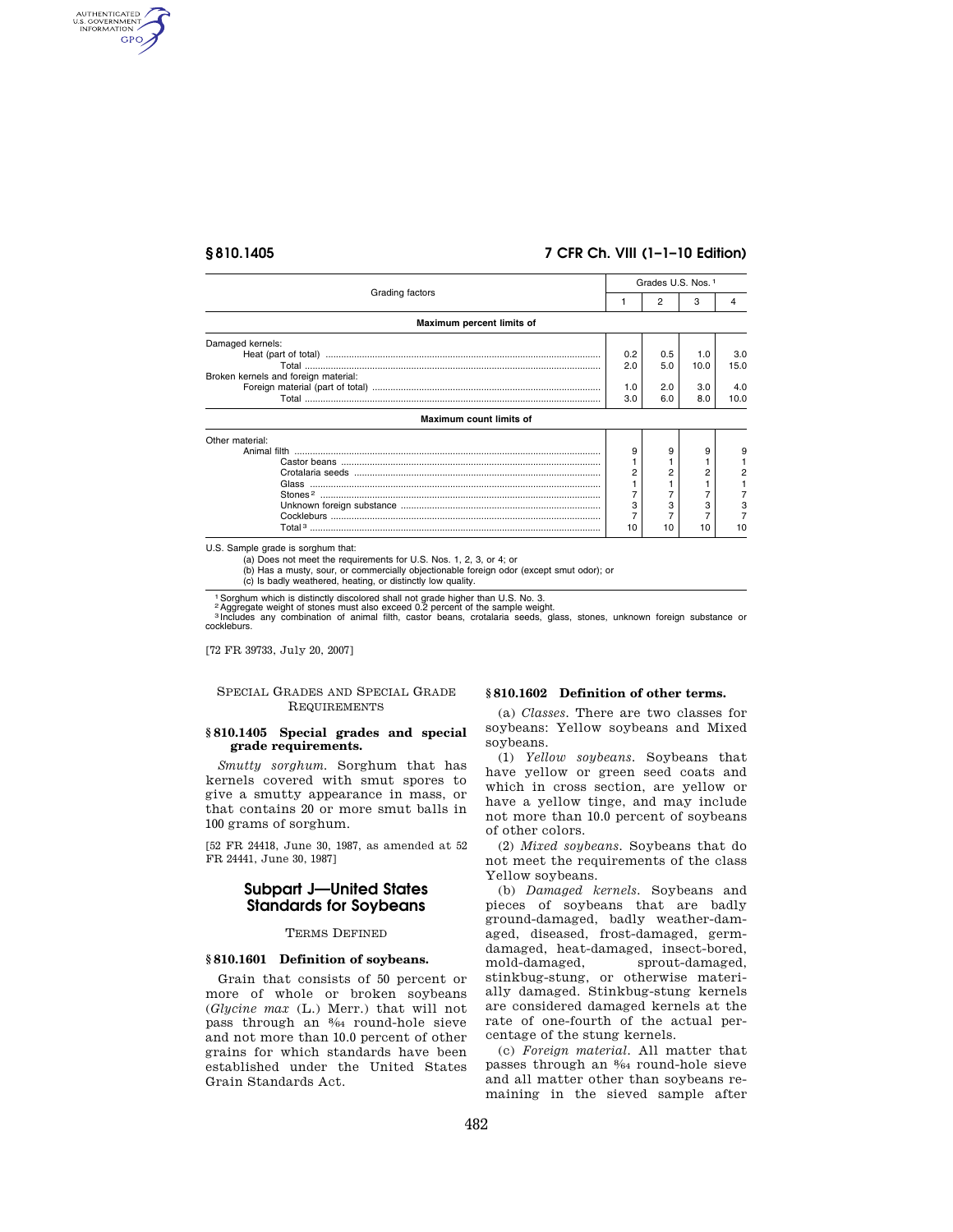AUTHENTICATED<br>U.S. GOVERNMENT<br>INFORMATION **GPO** 

# **§ 810.1405 7 CFR Ch. VIII (1–1–10 Edition)**

| Grading factors                      | Grades U.S. Nos. 1 |     |      |      |
|--------------------------------------|--------------------|-----|------|------|
|                                      | 1                  | 2   | 3    | 4    |
| Maximum percent limits of            |                    |     |      |      |
| Damaged kernels:                     |                    |     |      |      |
|                                      | 0.2                | 0.5 | 1.0  | 3.0  |
|                                      | 2.0                | 5.0 | 10.0 | 15.0 |
| Broken kernels and foreign material: |                    |     |      |      |
|                                      | 1.0                | 2.0 | 3.0  | 4.0  |
|                                      | 3.0                | 6.0 | 8.0  | 10.0 |
| <b>Maximum count limits of</b>       |                    |     |      |      |
| Other material:                      |                    |     |      |      |
|                                      | 9                  | 9   | 9    | 9    |
|                                      |                    |     |      |      |
|                                      |                    |     | 2    |      |
|                                      |                    |     |      |      |
|                                      |                    |     |      |      |
|                                      | 3                  |     |      | З    |
|                                      |                    |     |      |      |
|                                      | 10                 | 10  | 10   | 10   |

U.S. Sample grade is sorghum that:

(a) Does not meet the requirements for U.S. Nos. 1, 2, 3, or 4; or

(b) Has a musty, sour, or commercially objectionable foreign odor (except smut odor); or

(c) Is badly weathered, heating, or distinctly low quality.

1 Sorghum which is distinctly discolored shall not grade higher than U.S. No. 3.<br><sup>2</sup> Aggregate weight of stones must also exceed 0.2 percent of the sample weight.<br><sup>3 Includes any combination of animal filth, castor </sup> cockleburs.

[72 FR 39733, July 20, 2007]

# SPECIAL GRADES AND SPECIAL GRADE REQUIREMENTS

## **§ 810.1405 Special grades and special grade requirements.**

*Smutty sorghum.* Sorghum that has kernels covered with smut spores to give a smutty appearance in mass, or that contains 20 or more smut balls in 100 grams of sorghum.

[52 FR 24418, June 30, 1987, as amended at 52 FR 24441, June 30, 1987]

# **Subpart J—United States Standards for Soybeans**

## TERMS DEFINED

## **§ 810.1601 Definition of soybeans.**

Grain that consists of 50 percent or more of whole or broken soybeans (*Glycine max* (L.) Merr.) that will not pass through an 8⁄64 round-hole sieve and not more than 10.0 percent of other grains for which standards have been established under the United States Grain Standards Act.

### **§ 810.1602 Definition of other terms.**

(a) *Classes.* There are two classes for soybeans: Yellow soybeans and Mixed soybeans.

(1) *Yellow soybeans.* Soybeans that have yellow or green seed coats and which in cross section, are yellow or have a yellow tinge, and may include not more than 10.0 percent of soybeans of other colors.

(2) *Mixed soybeans.* Soybeans that do not meet the requirements of the class Yellow soybeans.

(b) *Damaged kernels.* Soybeans and pieces of soybeans that are badly ground-damaged, badly weather-damaged, diseased, frost-damaged, germdamaged, heat-damaged, insect-bored, mold-damaged, sprout-damaged, stinkbug-stung, or otherwise materially damaged. Stinkbug-stung kernels are considered damaged kernels at the rate of one-fourth of the actual percentage of the stung kernels.

(c) *Foreign material.* All matter that passes through an 8⁄64 round-hole sieve and all matter other than soybeans remaining in the sieved sample after